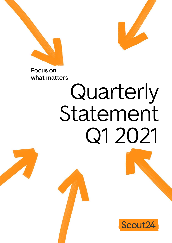



**Focus on what matters**

# Quarterly Statement Q1 2021

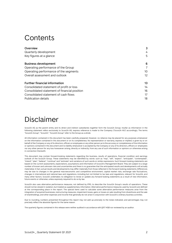# <span id="page-1-0"></span>**Contents**

| 4  |
|----|
| 5  |
| 6  |
| 7  |
| 10 |
| 12 |
| 13 |
| 14 |
| 16 |
| 17 |
| 18 |
|    |

# Disclaimer

Scout24 AG as the parent entity and its direct and indirect subsidiaries together form the Scout24 Group. Insofar as information in the following statement refers exclusively to Scout24 AG, express reference is made to the Company ("Scout24 AG") accordingly. The terms "Scout24 Group", "Scout24", "Scout24 Group" refer to the Group as a whole.

All information contained in this document has been carefully prepared. However, no reliance may be placed for any purposes whatsoever on the information contained in this document or on its completeness. No representation or warranty, express or implied, is given by or on behalf of the Company or any of its directors, officers or employees or any other person as to the accuracy or completeness of the information or opinions contained in this document and no liability whatsoever is accepted by the Company or any of its directors, officers or employees nor any other person for any loss howsoever arising, directly or indirectly, from any use of such information or opinions or otherwise arising in connection therewith.

This document may contain forward-looking statements regarding the business, results of operations, financial condition and earnings outlook of the Scout24 Group. These statements may be identified by words such as "may", "will", "expect", "anticipate", "contemplate", "intend", "plan", "believe", "continue" and "estimate" and variations of such words or similar expressions. Such forward-looking statements are based on the current assessments, expectations, assumptions and information of Scout24's Management Board. They are subject to a large number of known and unknown risks and uncertainties and there is no guarantee that the anticipated results and developments will actually materialise. In fact, actual results and developments may differ materially from those reflected in the forward-looking statements. Differences may be due to changes in the general macroeconomic and competitive environment, capital market risks, exchange rate fluctuations, changes in international and national laws and regulations, including but not limited to tax laws and regulations, relevant for Scout24, and many other factors. Scout24 undertakes no obligation to revise or update any forward-looking statements as a result of new information, future events or otherwise, unless expressly required to do so by law.

Scout24 also uses alternative performance measures, not defined by IFRS, to describe the Scout24 Group's results of operations. These should not be viewed in isolation, but treated as supplementary information. Alternative performance measures used by Scout24 are defined at the corresponding place in the report. The special items used to calculate some alternative performance measures arise from the integration of acquired businesses, restructuring measures, impairment losses, gains or losses on sale resulting from divestitures and the sale of shareholdings, and other expenses and income that generally do not arise in conjunction with Scout24's ordinary business activities.

Due to rounding, numbers presented throughout this report may not add up precisely to the totals indicated, and percentages may not precisely reflect the absolute figures for the same reason.

The quarterly figures contained in this release were neither audited in accordance with §317 HGB nor reviewed by an auditor.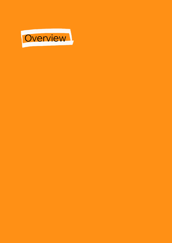<span id="page-2-0"></span>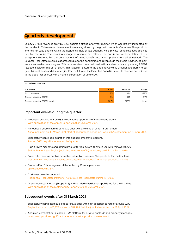### <span id="page-3-0"></span>**Quarterly development**

Scout24 Group revenues grew by 5.2% against a strong prior-year quarter, which was largely unaffected by the pandemic. This revenue development was mainly driven by the growth products (Consumer Plus-products and Realtor Lead Engine) within the Residential Real Estate business, while private listing revenues declined due to free-to-list. The resulting change in revenue mix reflects the consistent implementation of our ecosystem strategy, i.e., the development of ImmoScout24 into a comprehensive market network. The Business Real Estate revenues decreased due to the pandemic, and revenues in the Media & Other segment were also weaker year-on-year. This revenue structure combined with a stable ordinary operating EBITDA resulted in a lower margin of 58.7%. This is partly related to the ongoing Covid-19 situation and partly to our growth investments and dis-synergies. For the full year, the Executive Board is raising its revenue outlook due to the good first quarter with a margin expectation of up to 60%.

#### **KEY FIGURES GROUP**

| <b>EUR million</b>               | Q1 2021 | Q1 2020 | Change   |
|----------------------------------|---------|---------|----------|
| Group revenues                   | 93.8    | 89.1    | $+5.2%$  |
| Ordinary operating EBITDA        | 55.1    | 55.1    | $-0.1%$  |
| Ordinary operating EBITDA margin | 58.7%   | 61.8%   | $-3.1pp$ |

#### **Important events during the quarter**

- Proposed dividend of EUR 68.5 million at the upper end of the dividend policy. With publication of the Annual Report 2020 on 25 March 2021.
- Announced public share repurchase offer with a volume of almost EUR 1 billion. Announcement on 30 March 2021, start of acceptance period on 1 April 2021, settlement on 23 April 2021.
- Successfully continued migration into agent membership editions. Around 66% migration rate at end of quarter.
- High-growth mandate acquisition product for real estate agents in use with immoverkauf24. 94.8% Realtor Lead Engine (including immoverkauf24) revenue growth in the first quarter.
- Free-to-list revenue decline more than offset by consumer Plus-products for the first time. Net growth in Residential Real Estate Consumer revenues of 2.5%; Plus-products +28.0%.
- Business Real Estate segment still affected by Corona pandemic. Q1 revenue down 3.8%.
- Customer growth continued. Residential Real Estate Partners +4.8%, Business Real Estate Partners +2.0%.
- Greenhouse gas metrics (Scope 1 3) and detailed diversity data published for the first time. With publication of the Sustainability Report 2020 on 25 March 2021.

#### **Subsequent events after 31 March 2021**

- Successfully completed public repurchase offer with high acceptance rate of around 82%. Buyback volume: 11,400,875 shares or EUR 794.2 million (capital reduction on 28 April 2021).
- Acquired Vermietet.de, a leading CRM platform for private landlords and property managers. Investment provides significant time head start in product development.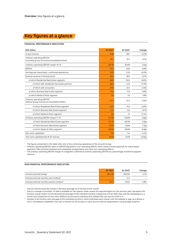# <span id="page-4-0"></span>**Key figures at a glance**

#### **FINANCIAL PERFORMANCE INDICATORS**

| <b>EUR</b> million                                                                        | Q1 2021 | Q1 2020 <sup>1</sup> | Change    |
|-------------------------------------------------------------------------------------------|---------|----------------------|-----------|
| Group revenue                                                                             | 93.8    | 89.1                 | $+5.2%$   |
| Ordinary operating EBITDA <sup>2</sup><br>(including group functions/consolidation/other) | 55.1    | 55.1                 | $-0.1%$   |
| Ordinary operating EBITDA margin <sup>3</sup> in %                                        | 58.7%   | 61.8%                | $-3.1$ pp |
| EBITDA                                                                                    | 52.3    | 52.6                 | $-0.6%$   |
| Earnings per share (basic, continuing operations)                                         | 0.25    | 0.25                 | $+0.0%$   |
| External revenue of ImmoScout24                                                           | 93.7    | 89.1                 | $+5.1%$   |
| of which Residential Real Estate segment                                                  | 68.8    | 63.4                 | $+8.5%$   |
| of which with residential real estate partners                                            | 48.2    | 43.3                 | $+11.3%$  |
| of which with consumers                                                                   | 20.6    | 20.1                 | $+2.5%$   |
| of which Business Real Estate segment                                                     | 17.2    | 17.9                 | $-3.8%$   |
| of which Media & Other segment                                                            | 7.6     | 7.8                  | $-1.8%$   |
| Ordinary operating EBITDA <sup>2</sup><br>(without group functions/consolidation/other)   | 57.4    | 57.5                 | $-0.2%$   |
| of which Residential Real Estate segment                                                  | 42.5    | 41.2                 | $+3.0%$   |
| of which Business Real Estate segment                                                     | 12.4    | 13.2                 | $-6.1%$   |
| of which Media & Other segment                                                            | 2.6     | 3.1                  | $-17.4%$  |
| Ordinary operating EBITDA margin <sup>3</sup> in %                                        | 61.3%   | 64.6%                | $-3.3$ pp |
| of which Residential Real Estate segment                                                  | 61.7%   | 65.0%                | $-3.3$ pp |
| of which Business Real Estate segment                                                     | 71.9%   | 73.6%                | $-1.7$ pp |
| of which Media & Other segment                                                            | 33.6%   | 39.9%                | $-6.3$ pp |
| Own work capitalised                                                                      | 5.6     | 5.4                  | $+4.1%$   |
| Own work capitalised as % of revenue                                                      | 6.0%    | 6.0%                 | $+0.0$ pp |

<sup>1</sup> The figures presented in this table refer only to the continuing operations of the Scout24 Group.

<sup>2</sup> Ordinary operating EBITDA refers to EBITDA adjusted for non-operating effects, which mainly include expenses for share-based payments, M&A activities (realised and unrealised), reorganisation and other non-operating effects.

 $^{\rm 3}~\,$  The ordinary operating EBITDA margin of a segment is defined as ordinary operating EBITDA as a percentage of external segment revenue.

#### **NON-FINANCIAL PERFORMANCE INDICATORS**

|                                                        | $Q12021$ <sup>1</sup> | Q1 2020 <sup>1</sup> | Change  |
|--------------------------------------------------------|-----------------------|----------------------|---------|
| ImmoScout24.de listings <sup>4</sup>                   | 391.479               | 408.152              | $-4.1%$ |
| ImmoScout24.de monthly users (million) <sup>5</sup>    |                       | 14.7                 |         |
| ImmoScout24.de monthly sessions (million) <sup>6</sup> | 107.7                 | 105.8                | $+1.8%$ |

<sup>4</sup> Source: ImmoScout24.de; listings in Germany (average as of the end of the month)

<sup>6</sup> Number of all monthly visits (average of the individual months) in which individual users interact with the website or app via a device; a visit is considered completed if the user is inactive for 30 minutes or more; source: internal measurement using Google Analytics.

<sup>5</sup> Due to a change of provider, no data is available for the quarter under review; the reported figure for the previous year represents the monthly unique visitors to ImmoScout24.de (average of the individual months), irrespective of how often they visit the marketplace in a month and irrespective of how many different access points (desktop and mobile) they use; source: AGOF e. V.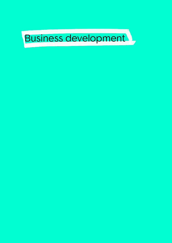# <span id="page-5-0"></span>Business development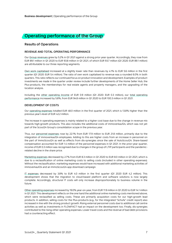## <span id="page-6-0"></span>**Operating performance of the Group**

#### **Results of Operations**

#### **REVENUE AND TOTAL OPERATING PERFORMANCE**

Our Group revenues grew by 5.2% in Q1 2021 against a strong prior-year quarter. Accordingly, they rose from EUR 89.1 million in Q1 2020 to EUR 93.8 million in Q1 2021, of which EUR 93.7 million (Q1 2020: EUR 89.1 million) are attributable to our three reporting segments.

Own work capitalised increased at a slightly lower rate than revenues by 4.1% to EUR 5.6 million in the first quarter (Q1 2020: EUR 5.4 million). The ratio of own work capitalised to revenue was a rounded 6.0% in both quarters. This ratio reflects our continued focus on product innovation and development. Examples of product investments we made in the quarter under review include further developments of the Home Seller Hub, the Plus-products, the memberships for real estate agents and property managers, and the upgrading of the location analysis.

Including the other operating income of EUR 0.9 million (Q1 2020: EUR 0.3 million), our total operating performance increased by 5.8%, from EUR 94.8 million in Q1 2020 to EUR 100.3 million in Q1 2021.

#### **DEVELOPMENT OF COSTS**

Our operating expenses totalled EUR 48.0 million in the first quarter of 2021, which is 13.8% higher than the previous year's level of EUR 42.2 million.

The increase in operating expenses is mainly related to a higher cost base due to the change in revenue mix towards high-growth products. This also includes the additional costs of immoverkauf24, which was not yet part of the Scout24 Group's consolidation scope in the previous year.

Thus, our personnel expenses rose by 22.1% from EUR 17.9 million to EUR 21.8 million, primarily due to the integration of immoverkauf24 employees. Adding to this are higher costs from an increase in personnel on the part of ImmoScout24 as well as effects from dis-synergies since the sale of AutoScout24. Share-based compensation accounted for EUR 1.4 million of the personnel expenses in Q1 2021. In the prior-year quarter, income of EUR 0.3 million was recognised due to changes in the group of LTIP participants and the pandemicrelated decline in the share price.

Marketing expenses decreased by 2.7% from EUR 8.3 million in Q1 2020 to EUR 8.0 million in Q1 2021, which is due to a reclassification of online marketing costs to selling costs (included in other operating expenses). Without the reclassification, marketing expenses would have increased with additional marketing activities of immoverkauf24 and an ImmoScout24 app download campaign.

IT expenses decreased by 3.8% to EUR 4.0 million in the first quarter (Q1 2020 EUR 4.2 million). This development shows that the migration to cloud-based platform and software solutions is now largely complete. Accordingly, structural IT costs will only increase disproportionately to business volume in the future.

Other operating expenses increased by 19.0% year-on-year, from EUR 11.9 million in Q1 2020 to EUR 14.1 million in Q1 2021. This development reflects on the one hand the additional online marketing costs mentioned above, which were reclassified as selling costs. These are primarily acquisition costs for our high-growth lead products. In addition, selling costs for the Plus-products (e.g., for the integrated "Schufa" credit report) also increased in line with the strong product growth. Rising external personnel costs due to additional call centre activities as well as investments in FLOWFACT had an impact on the development too. Finally, dis-synergies contributed to the rising other operating expenses. Lower travel costs and the reversal of bad debt provisions had a counteracting effect.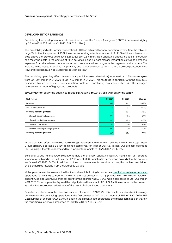#### **DEVELOPMENT OF EARNINGS**

Considering the development of costs described above, the Group's (unadjusted) EBITDA decreased slightly by 0.6% to EUR 52.3 million (Q1 2020: EUR 52.6 million).

The profitability indicator ordinary operating EBITDA is adjusted for non-operating effects (see the table on page 15). In the first quarter of 2021, these non-operating effects amounted to EUR 2.8 million and were thus 9.9% above the previous year's level (Q1 2020: EUR 2.5 million). Non-operating effects include, in particular, non-recurring costs in the context of M&A activities including post-merger integration as well as personnel expenses from share-based compensation and costs related to changes in the organisational structure. The increase in the first quarter of 2021 is primarily due to higher expenses from share-based compensation, while M&A and reorganisation costs decreased year-on-year.

The remaining operating effects from ordinary activities (see table below) increased by 12.5% year-on-year, from EUR 39.4 million in Q1 2020 to EUR 44.3 million in Q1 2021. This has to do in particular with the previously described higher personnel costs, marketing costs and purchasing costs associated with the changed revenue mix in favour of high-growth products.

| (EUR million)                     | Q1 2021 | Q1 2020 | Change   |
|-----------------------------------|---------|---------|----------|
| Revenue                           | 93.8    | 89.1    | $+5.2%$  |
| Own work capitalised              | 5.6     | 5.4     | $+4.1%$  |
| Ordinary operating effects        | $-44.3$ | $-39.4$ | $+12.5%$ |
| of which personnel expenses       | $-20.1$ | $-17.3$ | $+16.6%$ |
| of which marketing expenses       | $-8.0$  | $-8.3$  | $-2.6%$  |
| of which IT expenses              | $-3.9$  | $-4.0$  | $-2.7%$  |
| of which other operating expenses | $-12.2$ | $-9.9$  | $+24.0%$ |
| Ordinary operating EBITDA         | 55.1    | 55.1    | $-0.1%$  |

#### **DEVELOPMENT OF OPERATING COSTS AND THE CORRESPONDING IMPACT ON ORDINARY OPERATING EBITDA**

As the operating effects increased more strongly in percentage terms than revenue and own work capitalised, Group ordinary operating EBITDA remained stable year-on-year at EUR 55.1 million. Our ordinary operating EBITDA margin therefore decreased by 3.1 percentage points to 58.7% (Q1 2020: 61.8%).

Excluding Group functions/consolidation/other, the ordinary operating EBITDA margin for all reporting segments combined in the first quarter of 2021 was at 61.3%, which is 3.3 percentage points below the previous year's level (Q1 2020: 64.6%). In addition to the cost developments described above, this decline is explained by dis-synergies resulting from the AutoScout24 sale.

With a year-on-year improvement in the financial result but rising tax expenses, profit after tax from continuing operations fell by 8.2% to EUR 24.4 million in the first quarter of 2021 (Q1 2020: EUR 26.6 million). Including discontinued operations, our after-tax profit for the quarter was EUR 24.3 million compared to EUR 26.8 million in Q1 2020. This comparative figure differs slightly from the amount of EUR 27.3 million reported in the previous year due to a subsequent adjustment of the result of discontinued operations.

Based on a volume-weighted average number of shares of 97,836,291, this results in stable (basic) earnings per share for the continuing operations in the first quarter of 2021 in the amount of EUR 0.25 (Q1 2020: EUR 0.25; number of shares: 104,868,448). Including the discontinued operations, the (basic) earnings per share in the reporting quarter also amounted to EUR 0.25 (Q1 2020: EUR 0.26).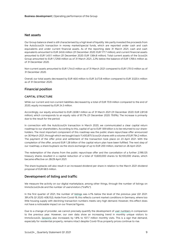#### **Net assets**

Our Group balance sheet is still characterised by a high level of liquidity. We partly invested the proceeds from the AutoScout24 transaction in money market/special funds, which are reported under cash and cash equivalents and under current financial assets. As of the reporting date 31 March 2021, cash and cash equivalents amounted to EUR 245.6 million (31 December 2020: EUR 177.7 million), and current financial assets amounted to EUR 1,451.1 million (31 December 2020: EUR 1,564.8 million). Total current assets of the Scout24 Group amounted to EUR 1,729.8 million as of 31 March 2021, 2.2% below the balance of EUR 1,769.4 million as of 31 December 2020.

Non-current assets amounted to EUR 1,744.0 million as of 31 March 2021 compared to EUR 1,751.0 million as of 31 December 2020.

Overall, our total assets decreased by EUR 46.6 million to EUR 3,473.8 million compared to EUR 3,520.4 million as of 31 December 2020.

#### **Financial position**

#### **CAPITAL STRUCTURE**

While our current and non-current liabilities decreased by a total of EUR 70.9 million compared to the end of 2020, equity increased by EUR 24.3 million.

Accordingly, our equity amounted to EUR 2,838.1 million as of 31 March 2021 (31 December 2020: EUR 2,813.8 million), which corresponds to an equity ratio of 81.7% (31 December 2020: 79.9%). The increase is primarily due to the result for the period.

In connection with the AutoScout24 transaction in March 2020, we communicated a clear capital return roadmap to our shareholders. According to this, capital of up to EUR 1.69 billion is to be returned to our shareholders. The most important component of this roadmap was the public share repurchase offer announced on 30 March 2021, through which we bought back 11,400,875 Scout24 shares with a volume of EUR 794.2 million. The payment of the offer price and settlement of the transaction took place on 23 April 2021. With the completion of the offer, around EUR 1.28 billion of the capital return plan have been fulfilled. The next step of our roadmap, a share buyback via the stock exchange of up to EUR 200 million, started on 26 April 2021.

The redemption of the shares from the public repurchase offer and the cancellation of a further 2,199,125 treasury shares resulted in a capital reduction of a total of 13,600,000 shares to 92,100,000 shares, which became effective on 28/29 April 2021.

The share buybacks will also result in an increased dividend per share in relation to the March 2021 dividend proposal of EUR 68.5 million.

#### **Development of listing and traffic**

We measure the activity on our digital marketplace, among other things, through the number of listings on ImmoScout24.de and the number of users/visitors ("traffic").

In the first quarter of 2021, the number of listings was 4.1% below the level of the previous year (Q1 2021: 391,479; Q1 2020: 408,152). Aside from Covid-19, this reflects current market conditions in Germany, where too little housing supply with declining transaction numbers meets very high demand. However, this effect does not have a noticeable impact on our financial figures.

Due to a change of provider, we cannot precisely quantify the development of user numbers in comparison to the previous year. However, our own data show an increasing trend in monthly unique visitors to ImmoScout24. Sessions also increased, by 1.8% to 107.7 million monthly visits. This is a sign that demand, especially for residential property, remains intact despite Covid-19 as property prices continue to rise.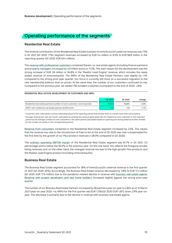## <span id="page-9-0"></span>**Operating performance of the segments**

#### **Residential Real Estate**

The revenue contribution of the Residential Real Estate business to ImmoScout24's external revenues was 73% in Q1 2021 (Q1 2020: 71%). Segment revenues increased by EUR 5.4 million or 8.5% to EUR 68.8 million in the reporting quarter (Q1 2020: EUR 63.4 million).

The revenue with professional customers contained therein, i.e. real estate agents (including finance partners) and property managers, increased by 4.9 million euros or 11.3%. The main reason for this development was the strong increase of EUR 3.6 million or 94.8% in the "Realtor Lead Engine" revenue, which includes the newly added revenue of immoverkauf24. The ARPU of the Residential Real Estate Partners rose slightly by 1.1% compared to the strong prior-year quarter. Our focus is currently still more on a successful migration to the new membership editions than on prices. At the same time, the number of our customers continued to rise. Compared to the previous year, we added 794 (smaller) customers (compared to the end of 2020: +261).

#### **RESIDENTIAL REAL ESTATE: DEVELOPMENT OF CUSTOMERS AND ARPU**

|                                                                                          | Q1 2021 | Q1 2020 | change  |
|------------------------------------------------------------------------------------------|---------|---------|---------|
| Residential real estate partners (number of core customers <sup>1</sup> , end of period) | 17.474  | 16,680  | $+4.8%$ |
| ARPU <sup>2</sup> with residential real estate partners (EUR/month)                      | 737     | 729     | $+1.1%$ |

<sup>1</sup> Customers with a fee-based contract extending beyond the reporting period that entitles them to market more than one property.

<sup>2</sup>Average revenue per user per month, calculated by dividing the revenue generated with the respective core customers in the reported period by the average number of core customers in the same period (calculated based on opening and closing balance) further divided by the number of months in the corresponding period.

Revenue from consumers contained in the Residential Real Estate segment increased by 2.5%. This means that the revenue loss due to the introduction of free-to-list at the end of Q1 2020 was over-compensated for the first time by the growth of our Plus-product revenues (+28.0% compared to Q1 2020).

The ordinary operating EBITDA margin of the Residential Real Estate segment was 61.7% in Q1 2021, 3.3 percentage points below the 65.0% in the previous year. On the one hand, this reflects the foregone private listing revenues and, on the other hand, the changed revenue mix due to the high-growth Plus-products and the Realtor Lead Engine product (including immoverkauf24).

#### **Business Real Estate**

The Business Real Estate segment accounted for 18% of ImmoScout24's external revenue in the first quarter of 2021 (Q1 2020: 20%). Accordingly, the Business Real Estate revenue decreased by 3.8% to EUR 17.2 million (Q1 2020: EUR 17.9 million) due to the pandemic-related decline in revenue with business real estate agents. Revenue with project developers and new home builders increased slightly against the strong prior-year quarter.

The number of our Business Real Estate Partners increased by 56 partners year-on-year to 2,804 as of 31 March 2021 (year-on-year 2020: +4). ARPU for the first quarter was EUR 1,758 (Q1 2020: EUR 1,811), down 2.9% year-onyear. This decrease is primarily due to the decline in revenue with business real estate agents.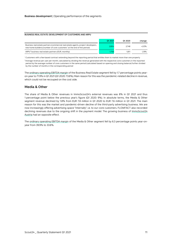#### **BUSINESS REAL ESTATE: DEVELOPMENT OF CUSTOMERS AND ARPU**

|                                                                                                                                                                          | Q1 2021 | Q1 2020 | change   |
|--------------------------------------------------------------------------------------------------------------------------------------------------------------------------|---------|---------|----------|
| Business real estate partners (commercial real estate agents, project developers,<br>new home builders) (number of core customers <sup>1</sup> at the end of the period) | 2.804   | 2.748   | $+2.0%$  |
| ARPU <sup>2</sup> business real estate partners (EUR, monthly)                                                                                                           | 1.758   | 1.811   | $-2.9\%$ |

<sup>1</sup> Customers with a fee-based contract extending beyond the reporting period that entitles them to market more than one property <sup>2</sup> Average revenue per user per month, calculated by dividing the revenue generated with the respective core customers in the reported

period by the average number of core customers in the same period (calculated based on opening and closing balance) further divided by the number of months in the corresponding period

The ordinary operating EBITDA margin of the Business Real Estate segment fell by 1.7 percentage points yearon-year to 71.9% in Q1 2021 (Q1 2020: 73.6%). Main reason for this was the pandemic-related decline in revenue, which could not be recouped on the cost side.

#### **Media & Other**

The share of Media & Other revenues in ImmoScout24's external revenues was 8% in Q1 2021 and thus 1 percentage point below the previous year's figure (Q1 2020: 9%). In absolute terms, the Media & Other segment revenue declined by 1.8% from EUR 7.8 million in Q1 2020 to EUR 7.6 million in Q1 2021. The main reason for this was the market and pandemic-driven decline of the third-party advertising business. We are now increasingly offering advertising space "internally", i.e. to our core customers. FLOWFACT also recorded declining revenues due to the ongoing shift in the payment model. The growing business of ImmoScout24 Austria had an opposite effect.

The ordinary operating EBITDA margin of the Media & Other segment fell by 6.3 percentage points year-onyear from 39.9% to 33.6%.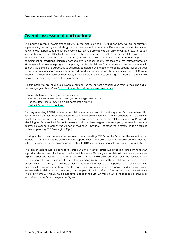#### <span id="page-11-0"></span>**Overall assessment and outlook**

The positive revenue development (+5.2%) in the first quarter of 2021 shows how we are consistently implementing our ecosystem strategy, i.e. the development of ImmoScout24 into a comprehensive market network. With a persisting impact from Covid-19, revenue growth was primarily driven by growth products such as TenantPlus+ and Realtor Lead Engine. Both products lead to satisfied and successful customers, e.g. tenants who found a new home or real estate agents who won new mandates and new business. Both products complement our traditional listing business and give us deeper insights into the actual real estate transaction. At the same time, we made progress in migrating our Residential Real Estate partners to the new membership editions. We continue to expect this to be largely completed by the beginning of the second half of the year. From then on, assuming a markedly improved pandemic situation and the continuous expiry of Coronadiscounts agreed on a case-by-case basis, ARPUs should rise more strongly again. Moreover, revenue with business real estate agents should also recover from then on.

On this basis, we are raising our revenue outlook for the current financial year from a "mid-single-digit percentage growth rate" to a "mid to high single-digit percentage growth rate".

Translated into our three segments, this means:

- Residential Real Estate: low double-digit percentage growth rate
- Business Real Estate: low single-digit percentage growth
- Media & Other: slightly declining

Ordinary operating EBITDA only remained stable in absolute terms in the first quarter. On the one hand, this has to do with the cost base associated with the changed revenue mix - growth products versus declining private listing revenues. On the other hand, it has to do with the pandemic related, subdued ARPU growth (declining for Business Real Estate Partners). And finally, dis-synergies have an impact, because in the same quarter last year AutoScout24 was still part of the Scout24 Group. All together, these effects led to a declining ordinary operating EBITDA margin (-3.1pp).

Looking at the full year, we see an accretive ordinary operating EBITDA for the Group. At the same time, our focus is on fully leveraging the current market opportunities. Therefore, considering a corresponding increase in the cost base, we expect an ordinary operating EBITDA margin (including holding costs) of up to 60%.

The Vermietet.de acquisition perfectly fits into our market network strategy. It gives us a significant head-start in product development for the rent market, which is key in Germany and Austria. With Vermietet.de, we are expanding our offer for private landlords – building on the LandlordPlus product – over the lifecycle of one or even several tenancies. Vermietet.de offers a leading SaaS-based software platform for landlords and property managers. They can use the digital toolkit to manage their property portfolio and relationship with their tenants, and we can in turn strengthen our long-term relationship with private landlords. We expect Vermietet.de to deliver strong revenue growth as part of the ImmoScout24 ecosystem over the next years. The investments will initially have a negative impact on the EBITDA margin, while we expect a positive midterm effect on the Group margin after 5 years.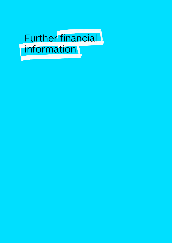# <span id="page-12-0"></span>Further financial **information**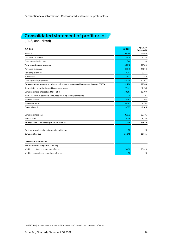# <span id="page-13-0"></span>**Consolidated statement of profit or loss (IFRS, unaudited)**

| <b>EUR '000</b>                                                                          | Q1 2021   | Q1 2020<br>(adjusted <sup>1</sup> ) |
|------------------------------------------------------------------------------------------|-----------|-------------------------------------|
| Revenue                                                                                  | 93,765    | 89,110                              |
| Own work capitalised                                                                     | 5.604     | 5.383                               |
| Other operating income                                                                   | 946       | 296                                 |
| Total operating performance                                                              | 100,316   | 94,789                              |
| Personnel expenses                                                                       | $-21,845$ | $-17,890$                           |
| Marketing expenses                                                                       | $-8.043$  | $-8.264$                            |
| IT expenses                                                                              | $-4,012$  | $-4,172$                            |
| Other operating expenses                                                                 | $-14,128$ | $-11.877$                           |
| Earnings before interest, tax, depreciation, amortisation and impairment losses - EBITDA | 52,288    | 52,586                              |
| Depreciation, amortisation and impairment losses                                         | $-13,321$ | $-12.786$                           |
| Earnings before interest and tax - EBIT                                                  | 38,967    | 39,799                              |
| Profit/loss from investments accounted for using the equity method                       | $-15$     | 34                                  |
| Finance income                                                                           | 5,763     | 1.622                               |
| Finance expenses                                                                         | $-9,343$  | $-8,071$                            |
| <b>Financial result</b>                                                                  | $-3,595$  | $-6,415$                            |
| Earnings before tax                                                                      | 35,372    | 33,384                              |
| Income taxes                                                                             | $-10,936$ | $-6,755$                            |
| Earnings from continuing operations after tax                                            | 24,436    | 26,629                              |
| Earnings from discontinued operations after tax                                          | $-96$     | 126                                 |
| Earnings after tax                                                                       | 24,340    | 26,754                              |
| Of which attributable to:                                                                |           |                                     |
| Shareholders of the parent company                                                       |           |                                     |
| of which: continuing operations, after tax                                               | 24,436    | 26,629                              |
| of which: discontinued operations, after tax                                             | $-96$     | 126                                 |

<sup>&</sup>lt;sup>1</sup> An IFRS 5 adjustment was made to the Q1 2020 result of discontinued operations after tax.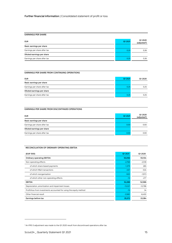#### **EARNINGS PER SHARE**

| <b>EUR</b>                   | Q1 2021 | Q1 2020<br>(adjusted <sup>2</sup> ) |
|------------------------------|---------|-------------------------------------|
| Basic earnings per share     |         |                                     |
| Earnings per share after tax | 0.25    | 0.26                                |
| Diluted earnings per share   |         |                                     |
| Earnings per share after tax | 0.25    | 0.26                                |

#### **EARNINGS PER SHARE FROM CONTINUING OPERATIONS**

| <b>EUR</b>                   | Q1 2021 | Q1 2020 |
|------------------------------|---------|---------|
| Basic earnings per share     |         |         |
| Earnings per share after tax | 0.25    | 0.25    |
| Diluted earnings per share   |         |         |
| Earnings per share after tax | 0.25    | 0.25    |

#### **EARNINGS PER SHARE FROM DISCONTINUED OPERATIONS**

| <b>EUR</b>                   | Q1 2021 | Q1 2020<br>(adjusted <sup>2</sup> ) |
|------------------------------|---------|-------------------------------------|
| Basic earnings per share     |         |                                     |
| Earnings per share after tax | 0.0C    | 0.00                                |
| Diluted earnings per share   |         |                                     |
| Earnings per share after tax | 0.00    | 0.00                                |

#### **RECONCILIATION OF ORDINARY OPERATING EBITDA**

| (EUR '000)                                                         | Q1 2021   | Q1 2020   |
|--------------------------------------------------------------------|-----------|-----------|
| <b>Ordinary operating EBITDA</b>                                   | 55,056    | 55,104    |
| Non-operating effects                                              | $-2,768$  | $-2,518$  |
| of which share-based payments                                      | $-1,379$  | 265       |
| of which M&A transactions                                          | $-457$    | $-534$    |
| of which reorganisation                                            | $-920$    | $-1,973$  |
| of which other non-operating effects                               | $-13$     | $-277$    |
| <b>EBITDA</b>                                                      | 52,288    | 52,586    |
| Depreciation, amortization and impairment losses                   | $-13,321$ | $-12,786$ |
| Profit/loss from investments accounted for using the equity method | $-15$     | 34        |
| Other financial result                                             | $-3,580$  | $-6,450$  |
| Earnings before tax                                                | 35,372    | 33,384    |

<sup>&</sup>lt;sup>2</sup> An IFRS 5 adjustment was made to the Q1 2020 result from discontinued operations after tax.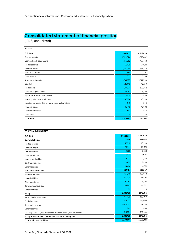# <span id="page-15-0"></span>**Consolidated statement of financial position (IFRS, unaudited)**

| <b>ASSETS</b>                                     |            |            |
|---------------------------------------------------|------------|------------|
| <b>EUR '000</b>                                   | 31.03.2021 | 31.12.2020 |
| <b>Current assets</b>                             | 1,729,824  | 1,769,432  |
| Cash and cash equivalents                         | 245,562    | 177,663    |
| Trade receivables                                 | 23,180     | 20,911     |
| Financial assets                                  | 1,451,089  | 1,564,788  |
| Income tax assets                                 | 990        | 87         |
| Other assets                                      | 9,003      | 5,984      |
| Non-current assets                                | 1,743,977  | 1,750,959  |
| Goodwill                                          | 712,610    | 712,610    |
| Trademarks                                        | 877,274    | 877,352    |
| Other intangible assets                           | 70,083     | 75,152     |
| Right-of-use assets from leases                   | 53,915     | 55,596     |
| Property, plant and equipment                     | 16,774     | 16,330     |
| Investments accounted for using the equity method | 345        | 360        |
| Financial assets                                  | 12,419     | 12,983     |
| Deferred tax assets                               | 547        | 568        |
| Other assets                                      | 10         | 10         |
| <b>Total assets</b>                               | 3,473,801  | 3,520,391  |

| <b>EQUITY AND LIABILITIES</b>                                       |            |            |  |
|---------------------------------------------------------------------|------------|------------|--|
| <b>EUR '000</b>                                                     | 31.03.2021 | 31.12.2020 |  |
| <b>Current liabilities</b>                                          | 132,539    | 142,568    |  |
| Trade payables                                                      | 15.510     | 13,250     |  |
| <b>Financial liabilities</b>                                        | 57,941     | 69,931     |  |
| Lease liabilities                                                   | 9,585      | 8.263      |  |
| Other provisions                                                    | 23,531     | 23,094     |  |
| Income tax liabilities                                              | 2,072      | 2,710      |  |
| Contract liabilities                                                | 9,475      | 8,950      |  |
| <b>Other liabilities</b>                                            | 14,424     | 16,371     |  |
| Non-current liabilities                                             | 503,124    | 564,007    |  |
| <b>Financial liabilities</b>                                        | 137,118    | 193,858    |  |
| Lease liabilities                                                   | 58,200     | 60,187     |  |
| Other provisions                                                    | 20,767     | 21,123     |  |
| Deferred tax liabilities                                            | 285,907    | 287,712    |  |
| Other liabilities                                                   | 1,132      | 1,126      |  |
| Equity                                                              | 2,838,138  | 2,813,815  |  |
| Subscribed share capital                                            | 105,700    | 105,700    |  |
| Capital reserve                                                     | 173,033    | 173,033    |  |
| Retained earnings                                                   | 3,074,073  | 3,049,733  |  |
| Other reserves                                                      | 865        | 883        |  |
| Treasury shares (7,863,709 shares; previous year: 7,863,709 shares) | $-515,534$ | $-515,534$ |  |
| Equity attributable to shareholders of parent company               | 2,838,138  | 2,813,815  |  |
| Total equity and liabilities                                        | 3,473,801  | 3,520,391  |  |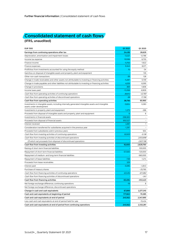# <span id="page-16-0"></span>**Consolidated statement of cash flows (IFRS, unaudited)**

| <b>EUR '000</b>                                                                                                               | Q1 2021    | Q1 2020    |
|-------------------------------------------------------------------------------------------------------------------------------|------------|------------|
| Earnings from continuing operations after tax                                                                                 | 24,436     | 26,629     |
| Depreciation, amortisation and impairment losses                                                                              | 13,321     | 12,786     |
| Income tax expense                                                                                                            | 10,936     | 6,755      |
| Finance income                                                                                                                | $-5,763$   | $-1,622$   |
| Finance expenses                                                                                                              | 9,343      | 8,071      |
| Profit/loss from investments accounted for using the equity method                                                            | 15         | -34        |
| Gain/loss on disposal of intangible assets and property, plant and equipment                                                  |            | 135        |
| Other non-cash transactions                                                                                                   | -39        | 128        |
| Change in trade receivables and other assets not attributable to investing or financing activities                            | $-5,287$   | $-5,159$   |
| Change in trade payables and other liabilities not attributable to investing or financing activities                          | 4,839      | 6,595      |
| Change in provisions                                                                                                          | 369        | $-1.606$   |
| Income taxes paid                                                                                                             | $-13,358$  | $-8,909$   |
| Cash flow from operating activities of continuing operations                                                                  | 38,812     | 43,769     |
| Cash flow from operating activities of discontinued operations                                                                | -56        | 17,196     |
| Cash flow from operating activities                                                                                           | 38,756     | 60,965     |
| Investments in intangible assets, including internally generated intangible assets and intangible<br>assets under development | $-5,604$   | $-5,383$   |
| Investments in property, plant and equipment                                                                                  | $-1,275$   | $-266$     |
| Proceeds from disposal of intangible assets and property, plant and equipment                                                 | 6          | 6          |
| Investments in financial assets                                                                                               | $-596,583$ |            |
| Proceeds from disposal of financial assets                                                                                    | 692,527    |            |
| Interest received                                                                                                             | 4,881      | 1          |
| Consideration transferred for subsidiaries acquired in the previous year                                                      | $-1,297$   |            |
| Proceeds from subsidiaries sold in previous years                                                                             |            | 504        |
| Cash flow from investing activities of continuing operations                                                                  | 92,655     | -5,138     |
| Cash flow from investing activities of discontinued operations                                                                |            | 2,833,898  |
| Of which net proceeds from disposal of discontinued operations                                                                |            | 2,837,198  |
| Cash flow from investing activities                                                                                           | 92,655     | 2,828,760  |
| Raising of short-term financial liabilities                                                                                   |            | 100,000    |
| Repayment of short-term financial liabilities                                                                                 | $-57,500$  | $-120,000$ |
| Repayment of medium- and long-term financial liabilities                                                                      |            | $-560,000$ |
| Repayment of lease liabilities                                                                                                | $-728$     | $-1,274$   |
| Proceeds from lease receivables                                                                                               | 329        |            |
| Interest paid                                                                                                                 | $-5,595$   | $-4,843$   |
| Purchase of treasury shares                                                                                                   |            | $-25,765$  |
| Cash flow from financing activities of continuing operations                                                                  | $-63.494$  | $-611,882$ |
| Cash flow from financing activities of discontinued operations                                                                |            | $-541$     |
| Cash flow from financing activities                                                                                           | $-63,494$  | -612,423   |
| Net foreign exchange difference, continuing operations                                                                        | $-18$      | 8          |
| Net foreign exchange difference, discontinued operations                                                                      |            |            |
| Change in cash and cash equivalents                                                                                           | 67,899     | 2,277,310  |
| Cash and cash equivalents at beginning of period                                                                              | 177,663    | 70,385     |
| Cash and cash equivalents at end of period                                                                                    | 245,562    | 2,347,695  |
| Less cash and cash equivalents at end of period held for sale                                                                 |            | $-15,434$  |
| Cash and cash equivalents at end of period from continuing operations                                                         | 245,562    | 2,332,261  |